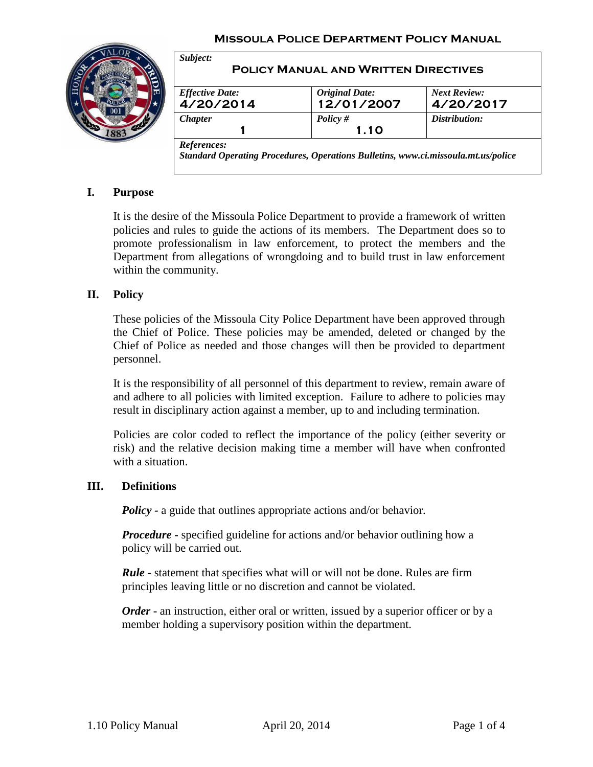#### **Missoula Police Department Policy Manual**



| <b>Effective Date:</b> |                                     | <b>Next Review:</b> |
|------------------------|-------------------------------------|---------------------|
| 4/20/2014              | <i>Original Date:</i><br>12/01/2007 | 4/20/2017           |
| <b>Chapter</b>         | Policy $#$                          | Distribution:       |
|                        | 1.10                                |                     |

## **I. Purpose**

It is the desire of the Missoula Police Department to provide a framework of written policies and rules to guide the actions of its members. The Department does so to promote professionalism in law enforcement, to protect the members and the Department from allegations of wrongdoing and to build trust in law enforcement within the community.

#### **II. Policy**

These policies of the Missoula City Police Department have been approved through the Chief of Police. These policies may be amended, deleted or changed by the Chief of Police as needed and those changes will then be provided to department personnel.

It is the responsibility of all personnel of this department to review, remain aware of and adhere to all policies with limited exception. Failure to adhere to policies may result in disciplinary action against a member, up to and including termination.

Policies are color coded to reflect the importance of the policy (either severity or risk) and the relative decision making time a member will have when confronted with a situation.

#### **III. Definitions**

*Policy* - a guide that outlines appropriate actions and/or behavior.

*Procedure* - specified guideline for actions and/or behavior outlining how a policy will be carried out.

*Rule* **-** statement that specifies what will or will not be done. Rules are firm principles leaving little or no discretion and cannot be violated.

*Order* **-** an instruction, either oral or written, issued by a superior officer or by a member holding a supervisory position within the department.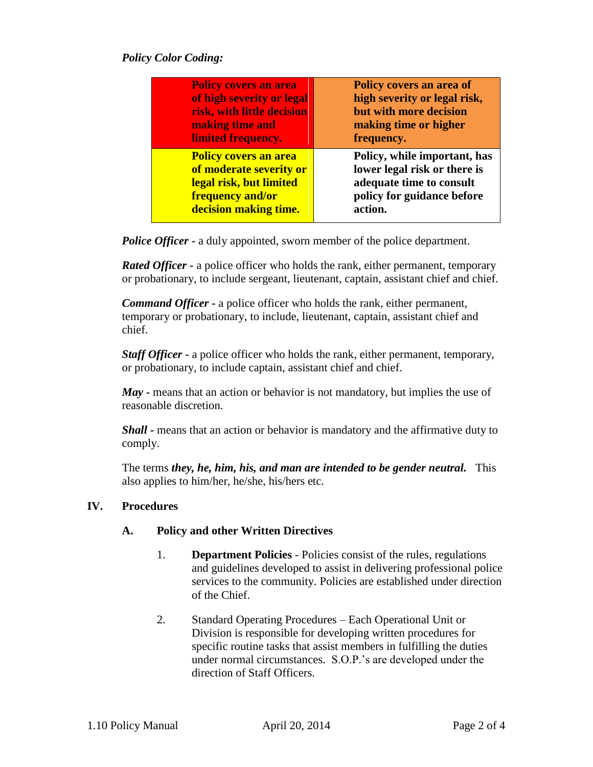## *Policy Color Coding:*

| <b>Policy covers an area</b> | Policy covers an area of     |
|------------------------------|------------------------------|
| of high severity or legal    | high severity or legal risk, |
| risk, with little decision   | but with more decision       |
| making time and              | making time or higher        |
| limited frequency.           | frequency.                   |
| <b>Policy covers an area</b> | Policy, while important, has |
| of moderate severity or      | lower legal risk or there is |
| legal risk, but limited      | adequate time to consult     |
| frequency and/or             | policy for guidance before   |
| decision making time.        | action.                      |

*Police Officer* **-** a duly appointed, sworn member of the police department.

*Rated Officer -* a police officer who holds the rank, either permanent, temporary or probationary, to include sergeant, lieutenant, captain, assistant chief and chief.

*Command Officer* **-** a police officer who holds the rank, either permanent, temporary or probationary, to include, lieutenant, captain, assistant chief and chief.

*Staff Officer* **-** a police officer who holds the rank, either permanent, temporary, or probationary, to include captain, assistant chief and chief.

*May -* means that an action or behavior is not mandatory, but implies the use of reasonable discretion.

*Shall -* means that an action or behavior is mandatory and the affirmative duty to comply.

The terms *they, he, him, his, and man are intended to be gender neutral.* This also applies to him/her, he/she, his/hers etc.

## **IV. Procedures**

#### **A. Policy and other Written Directives**

- 1. **Department Policies** Policies consist of the rules, regulations and guidelines developed to assist in delivering professional police services to the community. Policies are established under direction of the Chief.
- 2. Standard Operating Procedures Each Operational Unit or Division is responsible for developing written procedures for specific routine tasks that assist members in fulfilling the duties under normal circumstances. S.O.P.'s are developed under the direction of Staff Officers.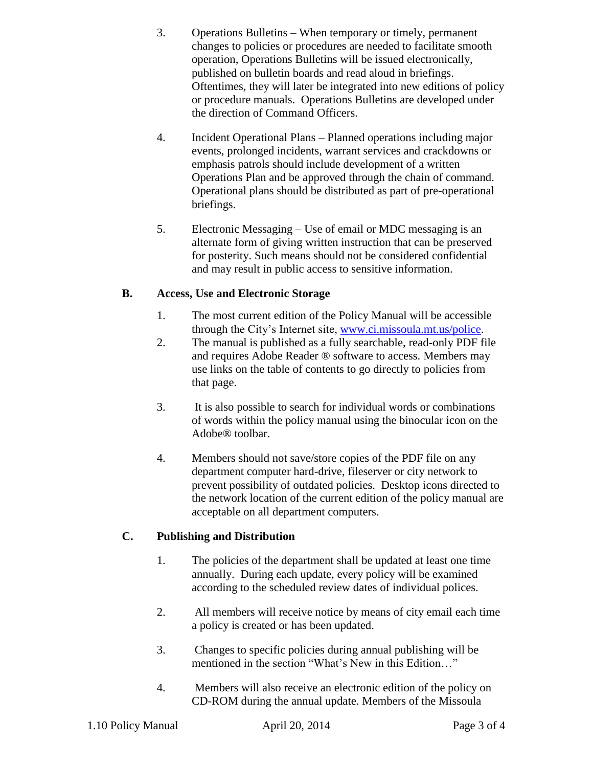- 3. Operations Bulletins When temporary or timely, permanent changes to policies or procedures are needed to facilitate smooth operation, Operations Bulletins will be issued electronically, published on bulletin boards and read aloud in briefings. Oftentimes, they will later be integrated into new editions of policy or procedure manuals. Operations Bulletins are developed under the direction of Command Officers.
- 4. Incident Operational Plans Planned operations including major events, prolonged incidents, warrant services and crackdowns or emphasis patrols should include development of a written Operations Plan and be approved through the chain of command. Operational plans should be distributed as part of pre-operational briefings.
- 5. Electronic Messaging Use of email or MDC messaging is an alternate form of giving written instruction that can be preserved for posterity. Such means should not be considered confidential and may result in public access to sensitive information.

# **B. Access, Use and Electronic Storage**

- 1. The most current edition of the Policy Manual will be accessible through the City's Internet site, [www.ci.missoula.mt.us/police.](http://www.ci.missoula.mt.us/police)
- 2. The manual is published as a fully searchable, read-only PDF file and requires Adobe Reader ® software to access. Members may use links on the table of contents to go directly to policies from that page.
- 3. It is also possible to search for individual words or combinations of words within the policy manual using the binocular icon on the Adobe® toolbar.
- 4. Members should not save/store copies of the PDF file on any department computer hard-drive, fileserver or city network to prevent possibility of outdated policies. Desktop icons directed to the network location of the current edition of the policy manual are acceptable on all department computers.

# **C. Publishing and Distribution**

- 1. The policies of the department shall be updated at least one time annually. During each update, every policy will be examined according to the scheduled review dates of individual polices.
- 2. All members will receive notice by means of city email each time a policy is created or has been updated.
- 3. Changes to specific policies during annual publishing will be mentioned in the section "What's New in this Edition…"
- 4. Members will also receive an electronic edition of the policy on CD-ROM during the annual update. Members of the Missoula